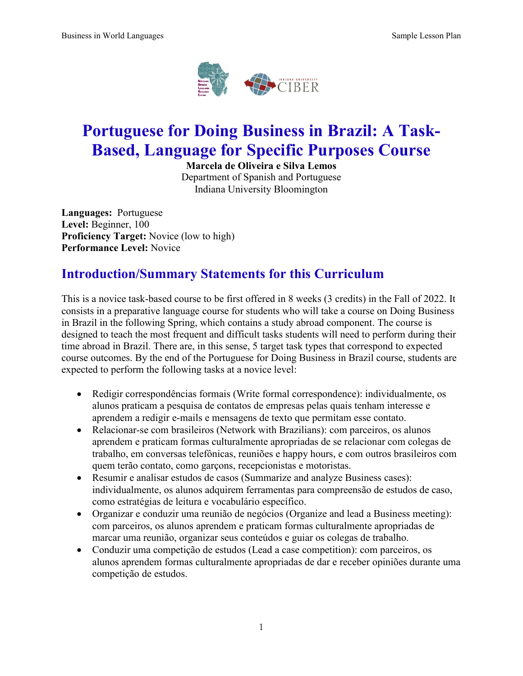

# **Portuguese for Doing Business in Brazil: A Task-Based, Language for Specific Purposes Course**

**Marcela de Oliveira e Silva Lemos**

Department of Spanish and Portuguese Indiana University Bloomington

**Languages:** Portuguese **Level:** Beginner, 100 **Proficiency Target:** Novice (low to high) **Performance Level:** Novice

### **Introduction/Summary Statements for this Curriculum**

This is a novice task-based course to be first offered in 8 weeks (3 credits) in the Fall of 2022. It consists in a preparative language course for students who will take a course on Doing Business in Brazil in the following Spring, which contains a study abroad component. The course is designed to teach the most frequent and difficult tasks students will need to perform during their time abroad in Brazil. There are, in this sense, 5 target task types that correspond to expected course outcomes. By the end of the Portuguese for Doing Business in Brazil course, students are expected to perform the following tasks at a novice level:

- Redigir correspondências formais (Write formal correspondence): individualmente, os alunos praticam a pesquisa de contatos de empresas pelas quais tenham interesse e aprendem a redigir e-mails e mensagens de texto que permitam esse contato.
- Relacionar-se com brasileiros (Network with Brazilians): com parceiros, os alunos aprendem e praticam formas culturalmente apropriadas de se relacionar com colegas de trabalho, em conversas telefônicas, reuniões e happy hours, e com outros brasileiros com quem terão contato, como garçons, recepcionistas e motoristas.
- Resumir e analisar estudos de casos (Summarize and analyze Business cases): individualmente, os alunos adquirem ferramentas para compreensão de estudos de caso, como estratégias de leitura e vocabulário específico.
- Organizar e conduzir uma reunião de negócios (Organize and lead a Business meeting): com parceiros, os alunos aprendem e praticam formas culturalmente apropriadas de marcar uma reunião, organizar seus conteúdos e guiar os colegas de trabalho.
- Conduzir uma competição de estudos (Lead a case competition): com parceiros, os alunos aprendem formas culturalmente apropriadas de dar e receber opiniões durante uma competição de estudos.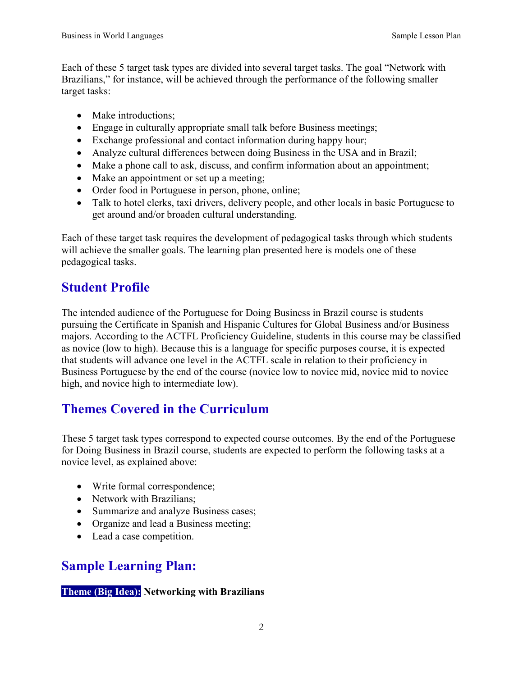Each of these 5 target task types are divided into several target tasks. The goal "Network with Brazilians," for instance, will be achieved through the performance of the following smaller target tasks:

- Make introductions:
- Engage in culturally appropriate small talk before Business meetings;
- Exchange professional and contact information during happy hour;
- Analyze cultural differences between doing Business in the USA and in Brazil;
- Make a phone call to ask, discuss, and confirm information about an appointment;
- Make an appointment or set up a meeting;
- Order food in Portuguese in person, phone, online;
- Talk to hotel clerks, taxi drivers, delivery people, and other locals in basic Portuguese to get around and/or broaden cultural understanding.

Each of these target task requires the development of pedagogical tasks through which students will achieve the smaller goals. The learning plan presented here is models one of these pedagogical tasks.

## **Student Profile**

The intended audience of the Portuguese for Doing Business in Brazil course is students pursuing the Certificate in Spanish and Hispanic Cultures for Global Business and/or Business majors. According to the ACTFL Proficiency Guideline, students in this course may be classified as novice (low to high). Because this is a language for specific purposes course, it is expected that students will advance one level in the ACTFL scale in relation to their proficiency in Business Portuguese by the end of the course (novice low to novice mid, novice mid to novice high, and novice high to intermediate low).

# **Themes Covered in the Curriculum**

These 5 target task types correspond to expected course outcomes. By the end of the Portuguese for Doing Business in Brazil course, students are expected to perform the following tasks at a novice level, as explained above:

- Write formal correspondence;
- Network with Brazilians:
- Summarize and analyze Business cases;
- Organize and lead a Business meeting;
- Lead a case competition.

### **Sample Learning Plan:**

#### **Theme (Big Idea): Networking with Brazilians**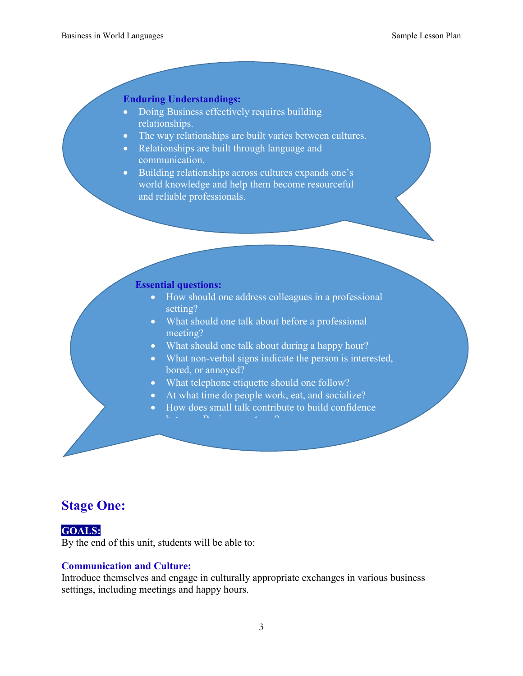#### **Enduring Understandings:**

- Doing Business effectively requires building relationships.
- The way relationships are built varies between cultures.
- Relationships are built through language and communication.
- Building relationships across cultures expands one's world knowledge and help them become resourceful and reliable professionals.

#### **Essential questions:**

- How should one address colleagues in a professional setting?
- What should one talk about before a professional meeting?
- What should one talk about during a happy hour?
- What non-verbal signs indicate the person is interested, bored, or annoyed?
- What telephone etiquette should one follow?
- At what time do people work, eat, and socialize?
	- How does small talk contribute to build confidence

### **Stage One:**

### **GOALS:**

By the end of this unit, students will be able to:

#### **Communication and Culture:**

Introduce themselves and engage in culturally appropriate exchanges in various business settings, including meetings and happy hours.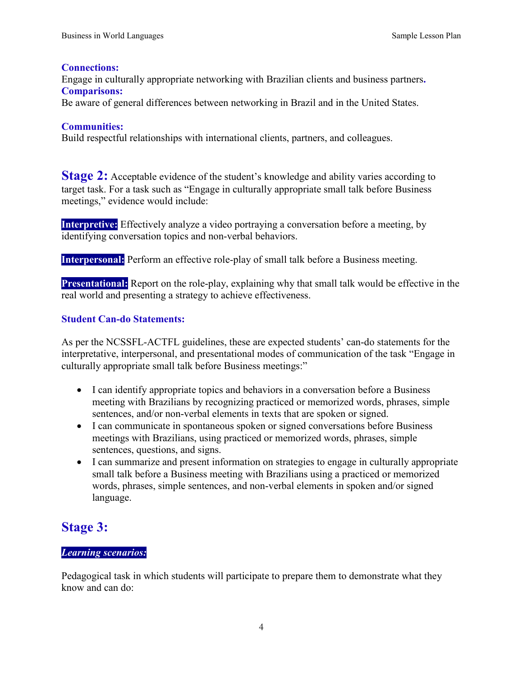#### **Connections:**

Engage in culturally appropriate networking with Brazilian clients and business partners**. Comparisons:** 

Be aware of general differences between networking in Brazil and in the United States.

#### **Communities:**

Build respectful relationships with international clients, partners, and colleagues.

**Stage 2:** Acceptable evidence of the student's knowledge and ability varies according to target task. For a task such as "Engage in culturally appropriate small talk before Business meetings," evidence would include:

**Interpretive:** Effectively analyze a video portraying a conversation before a meeting, by identifying conversation topics and non-verbal behaviors.

**Interpersonal:** Perform an effective role-play of small talk before a Business meeting.

**Presentational:** Report on the role-play, explaining why that small talk would be effective in the real world and presenting a strategy to achieve effectiveness.

#### **Student Can-do Statements:**

As per the NCSSFL-ACTFL guidelines, these are expected students' can-do statements for the interpretative, interpersonal, and presentational modes of communication of the task "Engage in culturally appropriate small talk before Business meetings:"

- I can identify appropriate topics and behaviors in a conversation before a Business meeting with Brazilians by recognizing practiced or memorized words, phrases, simple sentences, and/or non-verbal elements in texts that are spoken or signed.
- I can communicate in spontaneous spoken or signed conversations before Business meetings with Brazilians, using practiced or memorized words, phrases, simple sentences, questions, and signs.
- I can summarize and present information on strategies to engage in culturally appropriate small talk before a Business meeting with Brazilians using a practiced or memorized words, phrases, simple sentences, and non-verbal elements in spoken and/or signed language.

### **Stage 3:**

#### *Learning scenarios:*

Pedagogical task in which students will participate to prepare them to demonstrate what they know and can do: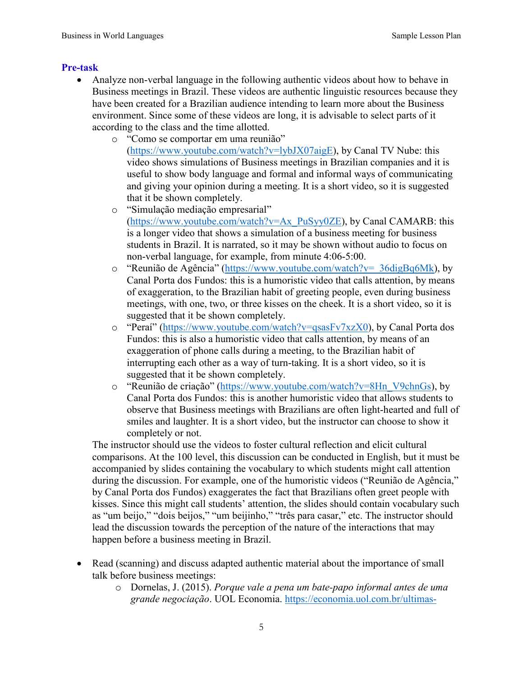#### **Pre-task**

- Analyze non-verbal language in the following authentic videos about how to behave in Business meetings in Brazil. These videos are authentic linguistic resources because they have been created for a Brazilian audience intending to learn more about the Business environment. Since some of these videos are long, it is advisable to select parts of it according to the class and the time allotted.
	- o "Como se comportar em uma reunião" [\(https://www.youtube.com/watch?v=lybJX07aigE\)](https://www.youtube.com/watch?v=lybJX07aigE), by Canal TV Nube: this video shows simulations of Business meetings in Brazilian companies and it is useful to show body language and formal and informal ways of communicating and giving your opinion during a meeting. It is a short video, so it is suggested that it be shown completely.
	- o "Simulação mediação empresarial"  $(\text{https://www.youtube.com/watch?v=Ax}$  PuSyy0ZE), by Canal CAMARB: this is a longer video that shows a simulation of a business meeting for business students in Brazil. It is narrated, so it may be shown without audio to focus on non-verbal language, for example, from minute 4:06-5:00.
	- o "Reunião de Agência" [\(https://www.youtube.com/watch?v=\\_36digBq6Mk\)](https://www.youtube.com/watch?v=_36digBq6Mk), by Canal Porta dos Fundos: this is a humoristic video that calls attention, by means of exaggeration, to the Brazilian habit of greeting people, even during business meetings, with one, two, or three kisses on the cheek. It is a short video, so it is suggested that it be shown completely.
	- o "Peraí" [\(https://www.youtube.com/watch?v=qsasFv7xzX0\)](https://www.youtube.com/watch?v=qsasFv7xzX0), by Canal Porta dos Fundos: this is also a humoristic video that calls attention, by means of an exaggeration of phone calls during a meeting, to the Brazilian habit of interrupting each other as a way of turn-taking. It is a short video, so it is suggested that it be shown completely.
	- o "Reunião de criação" [\(https://www.youtube.com/watch?v=8Hn\\_V9chnGs\)](https://www.youtube.com/watch?v=8Hn_V9chnGs), by Canal Porta dos Fundos: this is another humoristic video that allows students to observe that Business meetings with Brazilians are often light-hearted and full of smiles and laughter. It is a short video, but the instructor can choose to show it completely or not.

The instructor should use the videos to foster cultural reflection and elicit cultural comparisons. At the 100 level, this discussion can be conducted in English, but it must be accompanied by slides containing the vocabulary to which students might call attention during the discussion. For example, one of the humoristic videos ("Reunião de Agência," by Canal Porta dos Fundos) exaggerates the fact that Brazilians often greet people with kisses. Since this might call students' attention, the slides should contain vocabulary such as "um beijo," "dois beijos," "um beijinho," "três para casar," etc. The instructor should lead the discussion towards the perception of the nature of the interactions that may happen before a business meeting in Brazil.

- Read (scanning) and discuss adapted authentic material about the importance of small talk before business meetings:
	- o Dornelas, J. (2015). *Porque vale a pena um bate-papo informal antes de uma grande negociação*. UOL Economia. [https://economia.uol.com.br/ultimas-](https://economia.uol.com.br/ultimas-noticias/colunistas/jose-dornelas/2015/08/10/porque-vale-a-pena-um-bate-papo-informal-antes-de-uma-grande-negociacao.htm)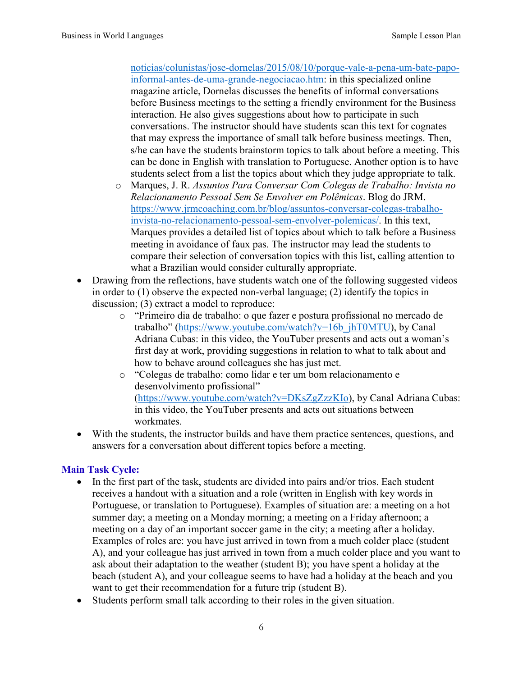[noticias/colunistas/jose-dornelas/2015/08/10/porque-vale-a-pena-um-bate-papo](https://economia.uol.com.br/ultimas-noticias/colunistas/jose-dornelas/2015/08/10/porque-vale-a-pena-um-bate-papo-informal-antes-de-uma-grande-negociacao.htm)[informal-antes-de-uma-grande-negociacao.htm:](https://economia.uol.com.br/ultimas-noticias/colunistas/jose-dornelas/2015/08/10/porque-vale-a-pena-um-bate-papo-informal-antes-de-uma-grande-negociacao.htm) in this specialized online magazine article, Dornelas discusses the benefits of informal conversations before Business meetings to the setting a friendly environment for the Business interaction. He also gives suggestions about how to participate in such conversations. The instructor should have students scan this text for cognates that may express the importance of small talk before business meetings. Then, s/he can have the students brainstorm topics to talk about before a meeting. This can be done in English with translation to Portuguese. Another option is to have students select from a list the topics about which they judge appropriate to talk.

- o Marques, J. R. *Assuntos Para Conversar Com Colegas de Trabalho: Invista no Relacionamento Pessoal Sem Se Envolver em Polêmicas*. Blog do JRM. [https://www.jrmcoaching.com.br/blog/assuntos-conversar-colegas-trabalho](https://www.jrmcoaching.com.br/blog/assuntos-conversar-colegas-trabalho-invista-no-relacionamento-pessoal-sem-envolver-polemicas/)[invista-no-relacionamento-pessoal-sem-envolver-polemicas/.](https://www.jrmcoaching.com.br/blog/assuntos-conversar-colegas-trabalho-invista-no-relacionamento-pessoal-sem-envolver-polemicas/) In this text, Marques provides a detailed list of topics about which to talk before a Business meeting in avoidance of faux pas. The instructor may lead the students to compare their selection of conversation topics with this list, calling attention to what a Brazilian would consider culturally appropriate.
- Drawing from the reflections, have students watch one of the following suggested videos in order to (1) observe the expected non-verbal language; (2) identify the topics in discussion; (3) extract a model to reproduce:
	- o "Primeiro dia de trabalho: o que fazer e postura profissional no mercado de trabalho" [\(https://www.youtube.com/watch?v=16b\\_jhT0MTU\)](https://www.youtube.com/watch?v=16b_jhT0MTU), by Canal Adriana Cubas: in this video, the YouTuber presents and acts out a woman's first day at work, providing suggestions in relation to what to talk about and how to behave around colleagues she has just met.
	- o "Colegas de trabalho: como lidar e ter um bom relacionamento e desenvolvimento profissional" [\(https://www.youtube.com/watch?v=DKsZgZzzKIo\)](https://www.youtube.com/watch?v=DKsZgZzzKIo), by Canal Adriana Cubas: in this video, the YouTuber presents and acts out situations between workmates.
- With the students, the instructor builds and have them practice sentences, questions, and answers for a conversation about different topics before a meeting.

#### **Main Task Cycle:**

- In the first part of the task, students are divided into pairs and/or trios. Each student receives a handout with a situation and a role (written in English with key words in Portuguese, or translation to Portuguese). Examples of situation are: a meeting on a hot summer day; a meeting on a Monday morning; a meeting on a Friday afternoon; a meeting on a day of an important soccer game in the city; a meeting after a holiday. Examples of roles are: you have just arrived in town from a much colder place (student A), and your colleague has just arrived in town from a much colder place and you want to ask about their adaptation to the weather (student B); you have spent a holiday at the beach (student A), and your colleague seems to have had a holiday at the beach and you want to get their recommendation for a future trip (student B).
- Students perform small talk according to their roles in the given situation.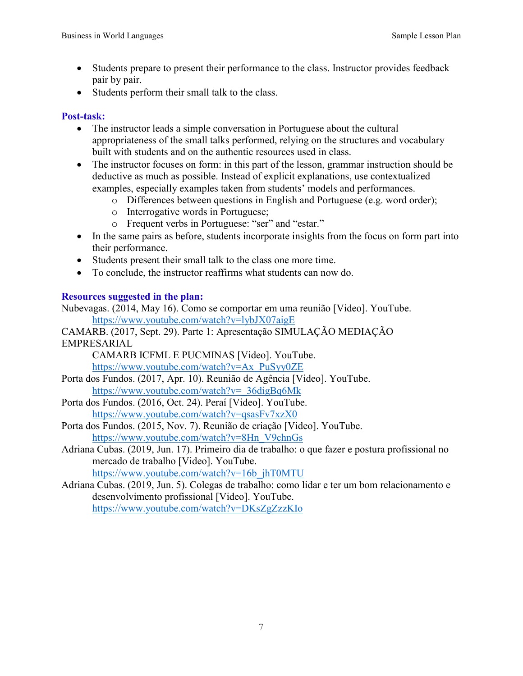- Students prepare to present their performance to the class. Instructor provides feedback pair by pair.
- Students perform their small talk to the class.

#### **Post-task:**

- The instructor leads a simple conversation in Portuguese about the cultural appropriateness of the small talks performed, relying on the structures and vocabulary built with students and on the authentic resources used in class.
- The instructor focuses on form: in this part of the lesson, grammar instruction should be deductive as much as possible. Instead of explicit explanations, use contextualized examples, especially examples taken from students' models and performances.
	- o Differences between questions in English and Portuguese (e.g. word order);
	- o Interrogative words in Portuguese;
	- o Frequent verbs in Portuguese: "ser" and "estar."
- In the same pairs as before, students incorporate insights from the focus on form part into their performance.
- Students present their small talk to the class one more time.
- To conclude, the instructor reaffirms what students can now do.

#### **Resources suggested in the plan:**

Nubevagas. (2014, May 16). Como se comportar em uma reunião [Video]. YouTube. <https://www.youtube.com/watch?v=lybJX07aigE>

CAMARB. (2017, Sept. 29). Parte 1: Apresentação SIMULAÇÃO MEDIAÇÃO EMPRESARIAL

CAMARB ICFML E PUCMINAS [Video]. YouTube. [https://www.youtube.com/watch?v=Ax\\_PuSyy0ZE](https://www.youtube.com/watch?v=Ax_PuSyy0ZE) 

- Porta dos Fundos. (2017, Apr. 10). Reunião de Agência [Video]. YouTube. [https://www.youtube.com/watch?v=\\_36digBq6Mk](https://www.youtube.com/watch?v=_36digBq6Mk)
- Porta dos Fundos. (2016, Oct. 24). Peraí [Video]. YouTube. <https://www.youtube.com/watch?v=qsasFv7xzX0>
- Porta dos Fundos. (2015, Nov. 7). Reunião de criação [Video]. YouTube. [https://www.youtube.com/watch?v=8Hn\\_V9chnGs](https://www.youtube.com/watch?v=8Hn_V9chnGs)
- Adriana Cubas. (2019, Jun. 17). Primeiro dia de trabalho: o que fazer e postura profissional no mercado de trabalho [Video]. YouTube.

[https://www.youtube.com/watch?v=16b\\_jhT0MTU](https://www.youtube.com/watch?v=16b_jhT0MTU) 

Adriana Cubas. (2019, Jun. 5). Colegas de trabalho: como lidar e ter um bom relacionamento e desenvolvimento profissional [Video]. YouTube. <https://www.youtube.com/watch?v=DKsZgZzzKIo>